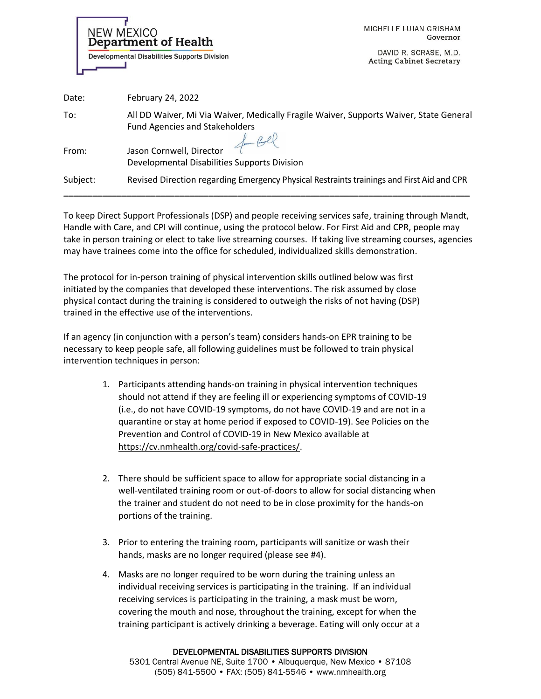Department of Health **Developmental Disabilities Supports Division** 

NEW MEXICO

MICHELLE LUJAN GRISHAM Governor

DAVID R. SCRASE, M.D. **Acting Cabinet Secretary** 

| Date:    | February 24, 2022                                                                                                               |
|----------|---------------------------------------------------------------------------------------------------------------------------------|
| To:      | All DD Waiver, Mi Via Waiver, Medically Fragile Waiver, Supports Waiver, State General<br><b>Fund Agencies and Stakeholders</b> |
| From:    | Jason Cornwell, Director<br>Developmental Disabilities Supports Division                                                        |
| Subject: | Revised Direction regarding Emergency Physical Restraints trainings and First Aid and CPR                                       |

To keep Direct Support Professionals (DSP) and people receiving services safe, training through Mandt, Handle with Care, and CPI will continue, using the protocol below. For First Aid and CPR, people may take in person training or elect to take live streaming courses. If taking live streaming courses, agencies may have trainees come into the office for scheduled, individualized skills demonstration.

The protocol for in-person training of physical intervention skills outlined below was first initiated by the companies that developed these interventions. The risk assumed by close physical contact during the training is considered to outweigh the risks of not having (DSP) trained in the effective use of the interventions.

If an agency (in conjunction with a person's team) considers hands-on EPR training to be necessary to keep people safe, all following guidelines must be followed to train physical intervention techniques in person:

- 1. Participants attending hands-on training in physical intervention techniques should not attend if they are feeling ill or experiencing symptoms of COVID-19 (i.e., do not have COVID-19 symptoms, do not have COVID-19 and are not in a quarantine or stay at home period if exposed to COVID-19). See Policies on the Prevention and Control of COVID-19 in New Mexico available at [https://cv.nmhealth.org/covid-safe-practices/.](https://cv.nmhealth.org/covid-safe-practices/)
- 2. There should be sufficient space to allow for appropriate social distancing in a well-ventilated training room or out-of-doors to allow for social distancing when the trainer and student do not need to be in close proximity for the hands-on portions of the training.
- 3. Prior to entering the training room, participants will sanitize or wash their hands, masks are no longer required (please see #4).
- 4. Masks are no longer required to be worn during the training unless an individual receiving services is participating in the training. If an individual receiving services is participating in the training, a mask must be worn, covering the mouth and nose, throughout the training, except for when the training participant is actively drinking a beverage. Eating will only occur at a